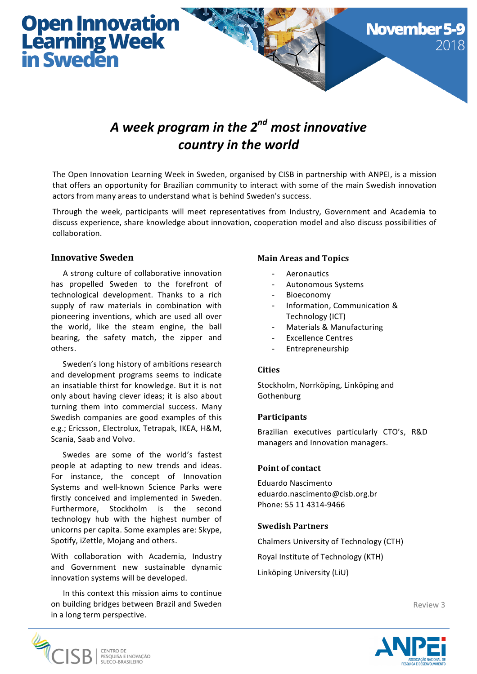# **Open Innovation<br>Learning Week<br>in Sweden**

# A week program in the 2<sup>nd</sup> most innovative country in the world

The Open Innovation Learning Week in Sweden, organised by CISB in partnership with ANPEI, is a mission that offers an opportunity for Brazilian community to interact with some of the main Swedish innovation actors from many areas to understand what is behind Sweden's success.

Through the week, participants will meet representatives from Industry, Government and Academia to discuss experience, share knowledge about innovation, cooperation model and also discuss possibilities of collaboration.

### **Innovative Sweden**

A strong culture of collaborative innovation has propelled Sweden to the forefront of technological development. Thanks to a rich supply of raw materials in combination with pioneering inventions, which are used all over the world, like the steam engine, the ball bearing, the safety match, the zipper and others.

Sweden's long history of ambitions research and development programs seems to indicate an insatiable thirst for knowledge. But it is not only about having clever ideas; it is also about turning them into commercial success. Many Swedish companies are good examples of this e.g.; Ericsson, Electrolux, Tetrapak, IKEA, H&M, Scania, Saab and Volvo.

Swedes are some of the world's fastest people at adapting to new trends and ideas. For instance, the concept of Innovation Systems and well-known Science Parks were firstly conceived and implemented in Sweden. Furthermore, Stockholm is the second technology hub with the highest number of unicorns per capita. Some examples are: Skype, Spotify, iZettle, Mojang and others.

With collaboration with Academia, Industry and Government new sustainable dynamic innovation systems will be developed.

In this context this mission aims to continue on building bridges between Brazil and Sweden in a long term perspective.

### **Main Areas and Topics**

- **Aeronautics**
- Autonomous Systems
- **Bioeconomy**
- Information, Communication & Technology (ICT)

**November** 

- Materials & Manufacturing
- Excellence Centres
- Entrepreneurship

#### **Cities**

Stockholm, Norrköping, Linköping and Gothenburg 

#### **Participants**

Brazilian executives particularly CTO's, R&D managers and Innovation managers.

#### **Point of contact**

Eduardo Nascimento eduardo.nascimento@cisb.org.br Phone: 55 11 4314-9466

#### **Swedish Partners**

Chalmers University of Technology (CTH) Royal Institute of Technology (KTH)

Linköping University (LiU)

Review 3